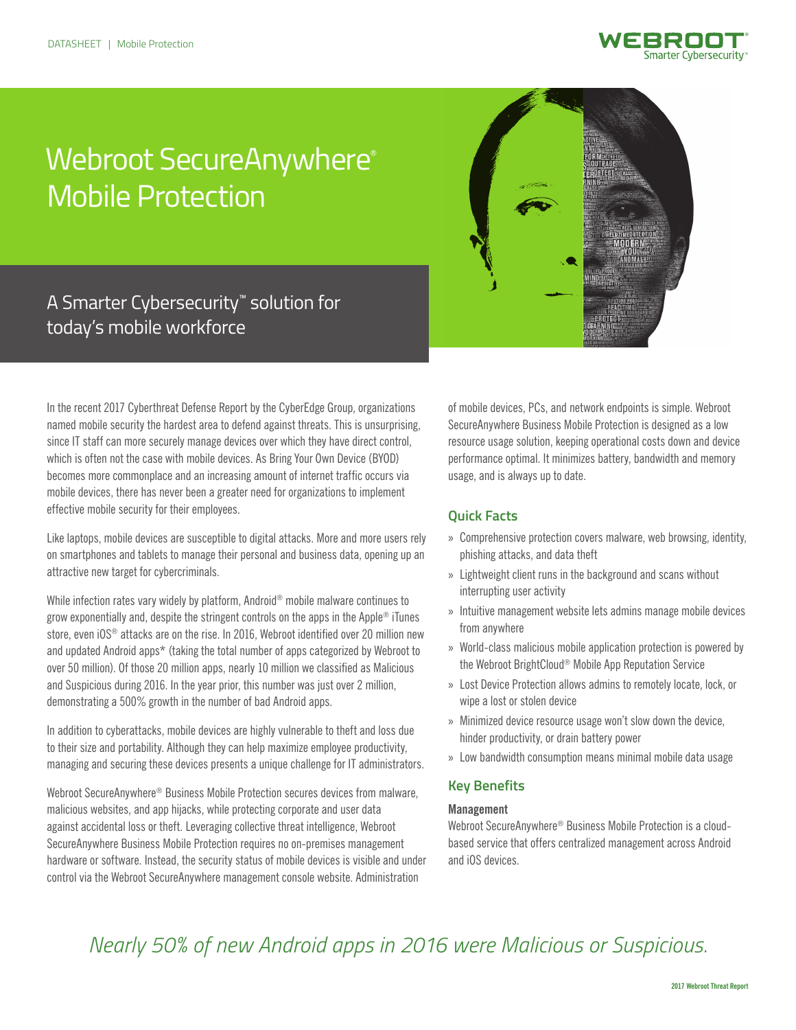

# Webroot SecureAnywhere® Mobile Protection



# A Smarter Cybersecurity™ solution for today's mobile workforce

In the recent 2017 Cyberthreat Defense Report by the CyberEdge Group, organizations named mobile security the hardest area to defend against threats. This is unsurprising, since IT staff can more securely manage devices over which they have direct control, which is often not the case with mobile devices. As Bring Your Own Device (BYOD) becomes more commonplace and an increasing amount of internet traffic occurs via mobile devices, there has never been a greater need for organizations to implement effective mobile security for their employees.

Like laptops, mobile devices are susceptible to digital attacks. More and more users rely on smartphones and tablets to manage their personal and business data, opening up an attractive new target for cybercriminals.

While infection rates vary widely by platform, Android® mobile malware continues to grow exponentially and, despite the stringent controls on the apps in the Apple® iTunes store, even iOS<sup>®</sup> attacks are on the rise. In 2016, Webroot identified over 20 million new and updated Android apps\* (taking the total number of apps categorized by Webroot to over 50 million). Of those 20 million apps, nearly 10 million we classified as Malicious and Suspicious during 2016. In the year prior, this number was just over 2 million, demonstrating a 500% growth in the number of bad Android apps.

In addition to cyberattacks, mobile devices are highly vulnerable to theft and loss due to their size and portability. Although they can help maximize employee productivity, managing and securing these devices presents a unique challenge for IT administrators.

Webroot SecureAnywhere® Business Mobile Protection secures devices from malware, malicious websites, and app hijacks, while protecting corporate and user data against accidental loss or theft. Leveraging collective threat intelligence, Webroot SecureAnywhere Business Mobile Protection requires no on-premises management hardware or software. Instead, the security status of mobile devices is visible and under control via the Webroot SecureAnywhere management console website. Administration

of mobile devices, PCs, and network endpoints is simple. Webroot SecureAnywhere Business Mobile Protection is designed as a low resource usage solution, keeping operational costs down and device performance optimal. It minimizes battery, bandwidth and memory usage, and is always up to date.

# **Quick Facts**

- » Comprehensive protection covers malware, web browsing, identity, phishing attacks, and data theft
- » Lightweight client runs in the background and scans without interrupting user activity
- » Intuitive management website lets admins manage mobile devices from anywhere
- » World-class malicious mobile application protection is powered by the Webroot BrightCloud® Mobile App Reputation Service
- » Lost Device Protection allows admins to remotely locate, lock, or wipe a lost or stolen device
- » Minimized device resource usage won't slow down the device, hinder productivity, or drain battery power
- » Low bandwidth consumption means minimal mobile data usage

# **Key Benefits**

# **Management**

Webroot SecureAnywhere® Business Mobile Protection is a cloudbased service that offers centralized management across Android and iOS devices.

# *Nearly 50% of new Android apps in 2016 were Malicious or Suspicious.*